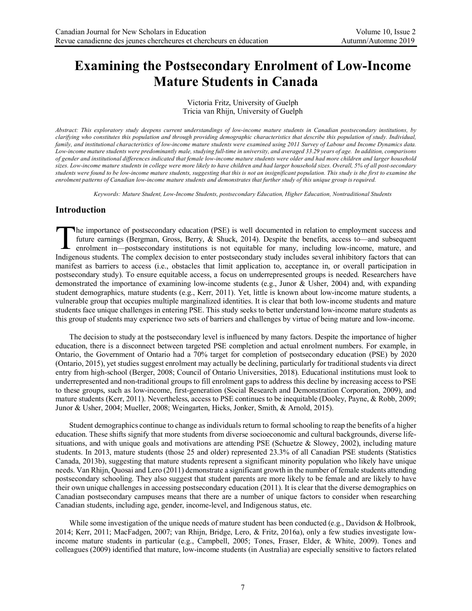# **Examining the Postsecondary Enrolment of Low-Income Mature Students in Canada**

Victoria Fritz, University of Guelph Tricia van Rhijn, University of Guelph

*Abstract: This exploratory study deepens current understandings of low-income mature students in Canadian postsecondary institutions, by clarifying who constitutes this population and through providing demographic characteristics that describe this population of study. Individual, family, and institutional characteristics of low-income mature students were examined using 2011 Survey of Labour and Income Dynamics data. Low-income mature students were predominantly male, studying full-time in university, and averaged 33.29 years of age. In addition, comparisons of gender and institutional differences indicated that female low-income mature students were older and had more children and larger household sizes. Low-income mature students in college were more likely to have children and had larger household sizes. Overall, 5% of all post-secondary students were found to be low-income mature students, suggesting that this is not an insignificant population. This study is the first to examine the*  enrolment patterns of Canadian low-income mature students and demonstrates that further study of this unique group is required.

*Keywords: Mature Student, Low-Income Students, postsecondary Education, Higher Education, Nontraditional Students*

## **Introduction**

he importance of postsecondary education (PSE) is well documented in relation to employment success and future earnings (Bergman, Gross, Berry, & Shuck, 2014). Despite the benefits, access to—and subsequent The importance of postsecondary education (PSE) is well documented in relation to employment success and future earnings (Bergman, Gross, Berry, & Shuck, 2014). Despite the benefits, access to—and subsequent enrolment in—p Indigenous students. The complex decision to enter postsecondary study includes several inhibitory factors that can manifest as barriers to access (i.e., obstacles that limit application to, acceptance in, or overall participation in postsecondary study). To ensure equitable access, a focus on underrepresented groups is needed. Researchers have demonstrated the importance of examining low-income students (e.g., Junor & Usher, 2004) and, with expanding student demographics, mature students (e.g., Kerr, 2011). Yet, little is known about low-income mature students, a vulnerable group that occupies multiple marginalized identities. It is clear that both low-income students and mature students face unique challenges in entering PSE. This study seeks to better understand low-income mature students as this group of students may experience two sets of barriers and challenges by virtue of being mature and low-income.

The decision to study at the postsecondary level is influenced by many factors. Despite the importance of higher education, there is a disconnect between targeted PSE completion and actual enrolment numbers. For example, in Ontario, the Government of Ontario had a 70% target for completion of postsecondary education (PSE) by 2020 (Ontario, 2015), yet studies suggest enrolment may actually be declining, particularly for traditional students via direct entry from high-school (Berger, 2008; Council of Ontario Universities, 2018). Educational institutions must look to underrepresented and non-traditional groups to fill enrolment gaps to address this decline by increasing access to PSE to these groups, such as low-income, first-generation (Social Research and Demonstration Corporation, 2009), and mature students (Kerr, 2011). Nevertheless, access to PSE continues to be inequitable (Dooley, Payne, & Robb, 2009; Junor & Usher, 2004; Mueller, 2008; Weingarten, Hicks, Jonker, Smith, & Arnold, 2015).

Student demographics continue to change as individuals return to formal schooling to reap the benefits of a higher education. These shifts signify that more students from diverse socioeconomic and cultural backgrounds, diverse lifesituations, and with unique goals and motivations are attending PSE (Schuetze & Slowey, 2002), including mature students. In 2013, mature students (those 25 and older) represented 23.3% of all Canadian PSE students (Statistics Canada, 2013b), suggesting that mature students represent a significant minority population who likely have unique needs. Van Rhijn, Quosai and Lero (2011) demonstrate a significant growth in the number of female students attending postsecondary schooling. They also suggest that student parents are more likely to be female and are likely to have their own unique challenges in accessing postsecondary education (2011). It is clear that the diverse demographics on Canadian postsecondary campuses means that there are a number of unique factors to consider when researching Canadian students, including age, gender, income-level, and Indigenous status, etc.

While some investigation of the unique needs of mature student has been conducted (e.g., Davidson & Holbrook, 2014; Kerr, 2011; MacFadgen, 2007; van Rhijn, Bridge, Lero, & Fritz, 2016a), only a few studies investigate lowincome mature students in particular (e.g., Campbell, 2005; Tones, Fraser, Elder, & White, 2009). Tones and colleagues (2009) identified that mature, low-income students (in Australia) are especially sensitive to factors related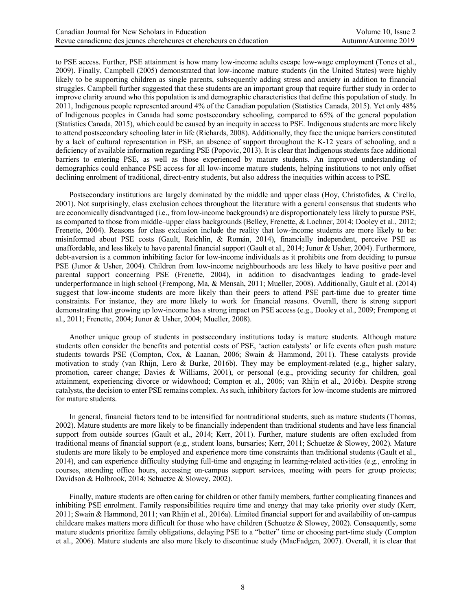to PSE access. Further, PSE attainment is how many low-income adults escape low-wage employment (Tones et al., 2009). Finally, Campbell (2005) demonstrated that low-income mature students (in the United States) were highly likely to be supporting children as single parents, subsequently adding stress and anxiety in addition to financial struggles. Campbell further suggested that these students are an important group that require further study in order to improve clarity around who this population is and demographic characteristics that define this population of study. In 2011, Indigenous people represented around 4% of the Canadian population (Statistics Canada, 2015). Yet only 48% of Indigenous peoples in Canada had some postsecondary schooling, compared to 65% of the general population (Statistics Canada, 2015), which could be caused by an inequity in access to PSE. Indigenous students are more likely to attend postsecondary schooling later in life (Richards, 2008). Additionally, they face the unique barriers constituted by a lack of cultural representation in PSE, an absence of support throughout the K-12 years of schooling, and a deficiency of available information regarding PSE (Popovic, 2013). It is clear that Indigenous students face additional barriers to entering PSE, as well as those experienced by mature students. An improved understanding of demographics could enhance PSE access for all low-income mature students, helping institutions to not only offset declining enrolment of traditional, direct-entry students, but also address the inequities within access to PSE.

Postsecondary institutions are largely dominated by the middle and upper class (Hoy, Christofides, & Cirello, 2001). Not surprisingly, class exclusion echoes throughout the literature with a general consensus that students who are economically disadvantaged (i.e., from low-income backgrounds) are disproportionately less likely to pursue PSE, as comparted to those from middle–upper class backgrounds (Belley, Frenette, & Lochner, 2014; Dooley et al., 2012; Frenette, 2004). Reasons for class exclusion include the reality that low-income students are more likely to be: misinformed about PSE costs (Gault, Reichlin, & Román, 2014), financially independent, perceive PSE as unaffordable, and less likely to have parental financial support (Gault et al., 2014; Junor & Usher, 2004). Furthermore, debt-aversion is a common inhibiting factor for low-income individuals as it prohibits one from deciding to pursue PSE (Junor & Usher, 2004). Children from low-income neighbourhoods are less likely to have positive peer and parental support concerning PSE (Frenette, 2004), in addition to disadvantages leading to grade-level underperformance in high school (Frempong, Ma, & Mensah, 2011; Mueller, 2008). Additionally, Gault et al. (2014) suggest that low-income students are more likely than their peers to attend PSE part-time due to greater time constraints. For instance, they are more likely to work for financial reasons. Overall, there is strong support demonstrating that growing up low-income has a strong impact on PSE access (e.g., Dooley et al., 2009; Frempong et al., 2011; Frenette, 2004; Junor & Usher, 2004; Mueller, 2008).

Another unique group of students in postsecondary institutions today is mature students. Although mature students often consider the benefits and potential costs of PSE, 'action catalysts' or life events often push mature students towards PSE (Compton, Cox, & Laanan, 2006; Swain & Hammond, 2011). These catalysts provide motivation to study (van Rhijn, Lero & Burke, 2016b). They may be employment-related (e.g., higher salary, promotion, career change; Davies & Williams, 2001), or personal (e.g., providing security for children, goal attainment, experiencing divorce or widowhood; Compton et al., 2006; van Rhijn et al., 2016b). Despite strong catalysts, the decision to enter PSE remains complex. As such, inhibitory factors for low-income students are mirrored for mature students.

In general, financial factors tend to be intensified for nontraditional students, such as mature students (Thomas, 2002). Mature students are more likely to be financially independent than traditional students and have less financial support from outside sources (Gault et al., 2014; Kerr, 2011). Further, mature students are often excluded from traditional means of financial support (e.g., student loans, bursaries; Kerr, 2011; Schuetze & Slowey, 2002). Mature students are more likely to be employed and experience more time constraints than traditional students (Gault et al., 2014), and can experience difficulty studying full-time and engaging in learning-related activities (e.g., enroling in courses, attending office hours, accessing on-campus support services, meeting with peers for group projects; Davidson & Holbrook, 2014; Schuetze & Slowey, 2002).

Finally, mature students are often caring for children or other family members, further complicating finances and inhibiting PSE enrolment. Family responsibilities require time and energy that may take priority over study (Kerr, 2011; Swain & Hammond, 2011; van Rhijn et al., 2016a). Limited financial support for and availability of on-campus childcare makes matters more difficult for those who have children (Schuetze & Slowey, 2002). Consequently, some mature students prioritize family obligations, delaying PSE to a "better" time or choosing part-time study (Compton et al., 2006). Mature students are also more likely to discontinue study (MacFadgen, 2007). Overall, it is clear that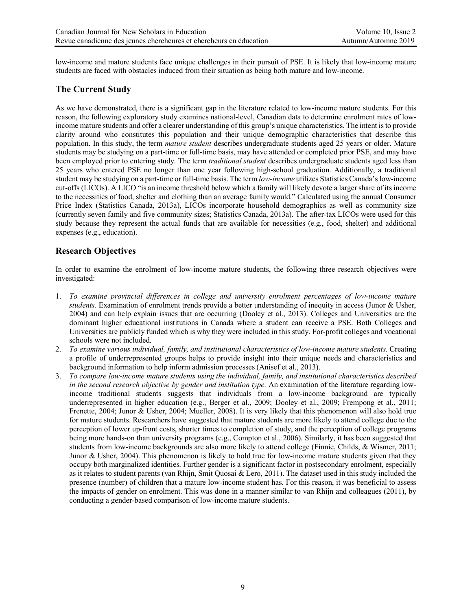low-income and mature students face unique challenges in their pursuit of PSE. It is likely that low-income mature students are faced with obstacles induced from their situation as being both mature and low-income.

# **The Current Study**

As we have demonstrated, there is a significant gap in the literature related to low-income mature students. For this reason, the following exploratory study examines national-level, Canadian data to determine enrolment rates of lowincome mature students and offer a clearer understanding of this group's unique characteristics. The intent is to provide clarity around who constitutes this population and their unique demographic characteristics that describe this population. In this study, the term *mature student* describes undergraduate students aged 25 years or older. Mature students may be studying on a part-time or full-time basis, may have attended or completed prior PSE, and may have been employed prior to entering study. The term *traditional student* describes undergraduate students aged less than 25 years who entered PSE no longer than one year following high-school graduation. Additionally, a traditional student may be studying on a part-time or full-time basis. The term *low-income* utilizes Statistics Canada's low-income cut-offs (LICOs). A LICO "is an income threshold below which a family will likely devote a larger share of its income to the necessities of food, shelter and clothing than an average family would." Calculated using the annual Consumer Price Index (Statistics Canada, 2013a), LICOs incorporate household demographics as well as community size (currently seven family and five community sizes; Statistics Canada, 2013a). The after-tax LICOs were used for this study because they represent the actual funds that are available for necessities (e.g., food, shelter) and additional expenses (e.g., education).

## **Research Objectives**

In order to examine the enrolment of low-income mature students, the following three research objectives were investigated:

- 1. *To examine provincial differences in college and university enrolment percentages of low-income mature students.* Examination of enrolment trends provide a better understanding of inequity in access (Junor & Usher, 2004) and can help explain issues that are occurring (Dooley et al., 2013). Colleges and Universities are the dominant higher educational institutions in Canada where a student can receive a PSE. Both Colleges and Universities are publicly funded which is why they were included in this study. For-profit colleges and vocational schools were not included.
- 2. *To examine various individual, family, and institutional characteristics of low-income mature students.* Creating a profile of underrepresented groups helps to provide insight into their unique needs and characteristics and background information to help inform admission processes (Anisef et al., 2013).
- 3. *To compare low-income mature students using the individual, family, and institutional characteristics described in the second research objective by gender and institution type.* An examination of the literature regarding lowincome traditional students suggests that individuals from a low-income background are typically underrepresented in higher education (e.g., Berger et al., 2009; Dooley et al., 2009; Frempong et al., 2011; Frenette, 2004; Junor & Usher, 2004; Mueller, 2008). It is very likely that this phenomenon will also hold true for mature students. Researchers have suggested that mature students are more likely to attend college due to the perception of lower up-front costs, shorter times to completion of study, and the perception of college programs being more hands-on than university programs (e.g., Compton et al., 2006). Similarly, it has been suggested that students from low-income backgrounds are also more likely to attend college (Finnie, Childs, & Wismer, 2011; Junor & Usher, 2004). This phenomenon is likely to hold true for low-income mature students given that they occupy both marginalized identities. Further gender is a significant factor in postsecondary enrolment, especially as it relates to student parents (van Rhijn, Smit Quosai & Lero, 2011). The dataset used in this study included the presence (number) of children that a mature low-income student has. For this reason, it was beneficial to assess the impacts of gender on enrolment. This was done in a manner similar to van Rhijn and colleagues (2011), by conducting a gender-based comparison of low-income mature students.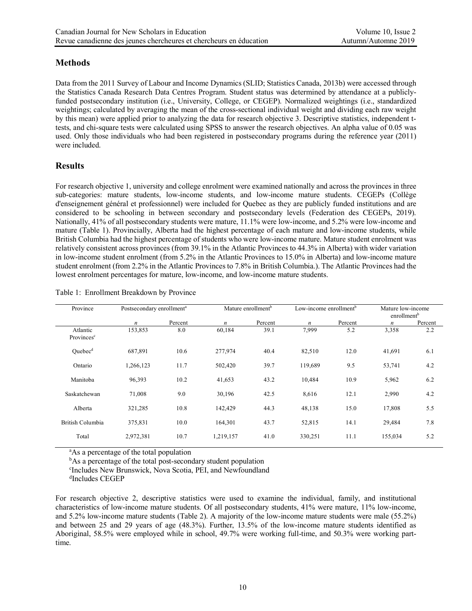# **Methods**

Data from the 2011 Survey of Labour and Income Dynamics (SLID; Statistics Canada, 2013b) were accessed through the Statistics Canada Research Data Centres Program. Student status was determined by attendance at a publiclyfunded postsecondary institution (i.e., University, College, or CEGEP). Normalized weightings (i.e., standardized weightings; calculated by averaging the mean of the cross-sectional individual weight and dividing each raw weight by this mean) were applied prior to analyzing the data for research objective 3. Descriptive statistics, independent ttests, and chi-square tests were calculated using SPSS to answer the research objectives. An alpha value of 0.05 was used. Only those individuals who had been registered in postsecondary programs during the reference year (2011) were included.

# **Results**

For research objective 1, university and college enrolment were examined nationally and across the provinces in three sub-categories: mature students, low-income students, and low-income mature students. CEGEPs (Collège d'enseignement général et professionnel) were included for Quebec as they are publicly funded institutions and are considered to be schooling in between secondary and postsecondary levels (Federation des CEGEPs, 2019). Nationally, 41% of all postsecondary students were mature, 11.1% were low-income, and 5.2% were low-income and mature (Table 1). Provincially, Alberta had the highest percentage of each mature and low-income students, while British Columbia had the highest percentage of students who were low-income mature. Mature student enrolment was relatively consistent across provinces (from 39.1% in the Atlantic Provinces to 44.3% in Alberta) with wider variation in low-income student enrolment (from 5.2% in the Atlantic Provinces to 15.0% in Alberta) and low-income mature student enrolment (from 2.2% in the Atlantic Provinces to 7.8% in British Columbia.). The Atlantic Provinces had the lowest enrolment percentages for mature, low-income, and low-income mature students.

| Province                           |                  | Postsecondary enrollment <sup>a</sup> |                  | Mature enrollment <sup>b</sup> |         | Low-income enrollment <sup>b</sup> |         | Mature low-income<br>enrollment <sup>b</sup> |  |
|------------------------------------|------------------|---------------------------------------|------------------|--------------------------------|---------|------------------------------------|---------|----------------------------------------------|--|
|                                    | $\boldsymbol{n}$ | Percent                               | $\boldsymbol{n}$ | Percent                        | n       | Percent                            | n       | Percent                                      |  |
| Atlantic<br>Provinces <sup>c</sup> | 153,853          | 8.0                                   | 60,184           | 39.1                           | 7,999   | 5.2                                | 3,358   | 2.2                                          |  |
| Quebec <sup>d</sup>                | 687,891          | 10.6                                  | 277,974          | 40.4                           | 82,510  | 12.0                               | 41,691  | 6.1                                          |  |
| Ontario                            | 1,266,123        | 11.7                                  | 502,420          | 39.7                           | 119,689 | 9.5                                | 53,741  | 4.2                                          |  |
| Manitoba                           | 96,393           | 10.2                                  | 41,653           | 43.2                           | 10,484  | 10.9                               | 5,962   | 6.2                                          |  |
| Saskatchewan                       | 71,008           | 9.0                                   | 30,196           | 42.5                           | 8,616   | 12.1                               | 2,990   | 4.2                                          |  |
| Alberta                            | 321,285          | 10.8                                  | 142,429          | 44.3                           | 48,138  | 15.0                               | 17,808  | 5.5                                          |  |
| British Columbia                   | 375,831          | 10.0                                  | 164,301          | 43.7                           | 52,815  | 14.1                               | 29,484  | 7.8                                          |  |
| Total                              | 2,972,381        | 10.7                                  | 1,219,157        | 41.0                           | 330,251 | 11.1                               | 155,034 | 5.2                                          |  |

Table 1: Enrollment Breakdown by Province

<sup>a</sup>As a percentage of the total population

<sup>b</sup>As a percentage of the total post-secondary student population

c Includes New Brunswick, Nova Scotia, PEI, and Newfoundland

d Includes CEGEP

For research objective 2, descriptive statistics were used to examine the individual, family, and institutional characteristics of low-income mature students. Of all postsecondary students, 41% were mature, 11% low-income, and 5.2% low-income mature students (Table 2). A majority of the low-income mature students were male (55.2%) and between 25 and 29 years of age (48.3%). Further, 13.5% of the low-income mature students identified as Aboriginal, 58.5% were employed while in school, 49.7% were working full-time, and 50.3% were working parttime.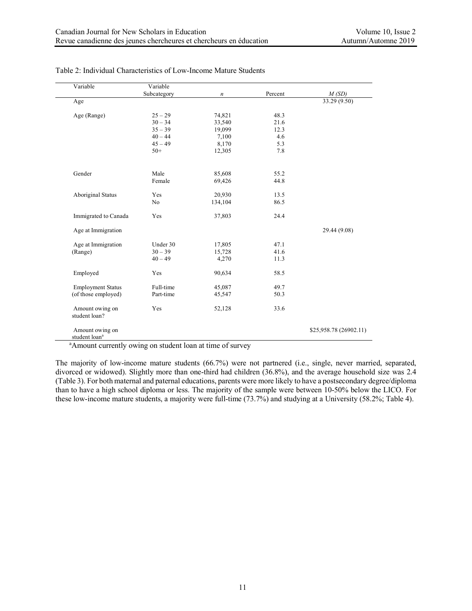| Variable                                     | Variable       |                  |         |                           |
|----------------------------------------------|----------------|------------------|---------|---------------------------|
|                                              | Subcategory    | $\boldsymbol{n}$ | Percent | M(SD)                     |
| Age                                          |                |                  |         | $\overline{33.29}$ (9.50) |
| Age (Range)                                  | $25 - 29$      | 74,821           | 48.3    |                           |
|                                              | $30 - 34$      | 33,540           | 21.6    |                           |
|                                              | $35 - 39$      | 19,099           | 12.3    |                           |
|                                              | $40 - 44$      | 7,100            | 4.6     |                           |
|                                              | $45 - 49$      | 8,170            | 5.3     |                           |
|                                              | $50+$          | 12,305           | 7.8     |                           |
| Gender                                       | Male           | 85,608           | 55.2    |                           |
|                                              | Female         | 69,426           | 44.8    |                           |
| <b>Aboriginal Status</b>                     | Yes            | 20,930           | 13.5    |                           |
|                                              | N <sub>o</sub> | 134,104          | 86.5    |                           |
| Immigrated to Canada                         | Yes            | 37,803           | 24.4    |                           |
| Age at Immigration                           |                |                  |         | 29.44 (9.08)              |
| Age at Immigration                           | Under 30       | 17,805           | 47.1    |                           |
| (Range)                                      | $30 - 39$      | 15,728           | 41.6    |                           |
|                                              | $40 - 49$      | 4,270            | 11.3    |                           |
| Employed                                     | Yes            | 90,634           | 58.5    |                           |
| <b>Employment Status</b>                     | Full-time      | 45,087           | 49.7    |                           |
| (of those employed)                          | Part-time      | 45,547           | 50.3    |                           |
| Amount owing on<br>student loan?             | Yes            | 52,128           | 33.6    |                           |
| Amount owing on<br>student loan <sup>a</sup> |                |                  |         | \$25,958.78 (26902.11)    |

Table 2: Individual Characteristics of Low-Income Mature Students

<sup>a</sup> Amount currently owing on student loan at time of survey

The majority of low-income mature students (66.7%) were not partnered (i.e., single, never married, separated, divorced or widowed). Slightly more than one-third had children (36.8%), and the average household size was 2.4 (Table 3). For both maternal and paternal educations, parents were more likely to have a postsecondary degree/diploma than to have a high school diploma or less. The majority of the sample were between 10-50% below the LICO. For these low-income mature students, a majority were full-time (73.7%) and studying at a University (58.2%; Table 4).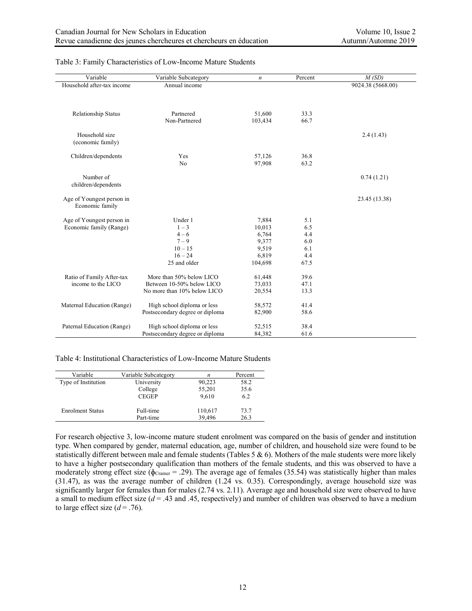| Variable                                     | Variable Subcategory                                           | $\boldsymbol{n}$  | Percent      | M(SD)             |
|----------------------------------------------|----------------------------------------------------------------|-------------------|--------------|-------------------|
| Household after-tax income                   | Annual income                                                  |                   |              | 9024.38 (5668.00) |
|                                              |                                                                |                   |              |                   |
|                                              |                                                                |                   |              |                   |
|                                              | Partnered                                                      |                   |              |                   |
| Relationship Status                          | Non-Partnered                                                  | 51,600<br>103,434 | 33.3<br>66.7 |                   |
|                                              |                                                                |                   |              |                   |
| Household size                               |                                                                |                   |              | 2.4(1.43)         |
| (economic family)                            |                                                                |                   |              |                   |
|                                              |                                                                |                   |              |                   |
| Children/dependents                          | Yes                                                            | 57,126            | 36.8         |                   |
|                                              | No                                                             | 97,908            | 63.2         |                   |
|                                              |                                                                |                   |              |                   |
| Number of                                    |                                                                |                   |              | 0.74(1.21)        |
| children/dependents                          |                                                                |                   |              |                   |
|                                              |                                                                |                   |              |                   |
| Age of Youngest person in<br>Economic family |                                                                |                   |              | 23.45 (13.38)     |
|                                              |                                                                |                   |              |                   |
| Age of Youngest person in                    | Under 1                                                        | 7,884             | 5.1          |                   |
| Economic family (Range)                      | $1 - 3$                                                        | 10,013            | 6.5          |                   |
|                                              | $4 - 6$                                                        | 6,764             | 4.4          |                   |
|                                              | $7 - 9$                                                        | 9,377             | 6.0          |                   |
|                                              | $10 - 15$                                                      | 9,519             | 6.1          |                   |
|                                              | $16 - 24$                                                      | 6,819             | 4.4          |                   |
|                                              | 25 and older                                                   | 104,698           | 67.5         |                   |
|                                              |                                                                |                   |              |                   |
| Ratio of Family After-tax                    | More than 50% below LICO                                       | 61,448            | 39.6         |                   |
| income to the LICO                           | Between 10-50% below LICO                                      | 73,033            | 47.1         |                   |
|                                              | No more than 10% below LICO                                    | 20,554            | 13.3         |                   |
|                                              |                                                                |                   | 41.4         |                   |
| Maternal Education (Range)                   | High school diploma or less<br>Postsecondary degree or diploma | 58,572<br>82,900  | 58.6         |                   |
|                                              |                                                                |                   |              |                   |
| Paternal Education (Range)                   | High school diploma or less                                    | 52,515            | 38.4         |                   |
|                                              | Postsecondary degree or diploma                                | 84,382            | 61.6         |                   |
|                                              |                                                                |                   |              |                   |

#### Table 3: Family Characteristics of Low-Income Mature Students

Table 4: Institutional Characteristics of Low-Income Mature Students

| Variable                | Variable Subcategory | n       | Percent |
|-------------------------|----------------------|---------|---------|
| Type of Institution     | University           | 90,223  | 58.2    |
|                         | College              | 55,201  | 35.6    |
|                         | <b>CEGEP</b>         | 9,610   | 6.2     |
| <b>Enrolment Status</b> | Full-time            | 110,617 | 73.7    |
|                         | Part-time            | 39,496  | 26.3    |

For research objective 3, low-income mature student enrolment was compared on the basis of gender and institution type. When compared by gender, maternal education, age, number of children, and household size were found to be statistically different between male and female students (Tables 5 & 6). Mothers of the male students were more likely to have a higher postsecondary qualification than mothers of the female students, and this was observed to have a moderately strong effect size ( $\phi_{Cramer}$  = .29). The average age of females (35.54) was statistically higher than males (31.47), as was the average number of children (1.24 vs. 0.35). Correspondingly, average household size was significantly larger for females than for males (2.74 vs. 2.11). Average age and household size were observed to have a small to medium effect size  $(d = .43$  and  $.45$ , respectively) and number of children was observed to have a medium to large effect size  $(d = .76)$ .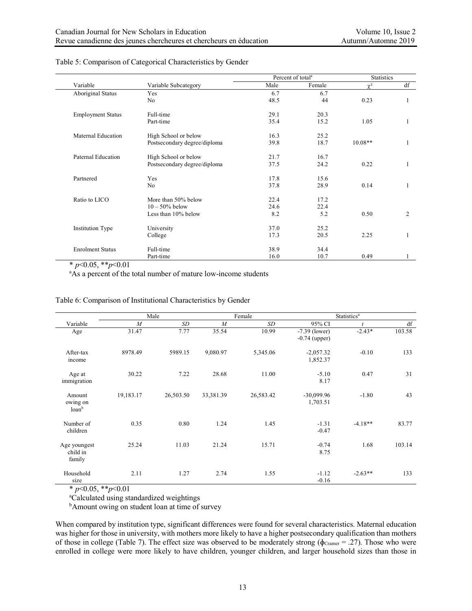|                          |                              | Percent of total <sup>a</sup> |        | <b>Statistics</b> |                |
|--------------------------|------------------------------|-------------------------------|--------|-------------------|----------------|
| Variable                 | Variable Subcategory         | Male                          | Female | $\gamma^2$        | df             |
| <b>Aboriginal Status</b> | Yes                          | 6.7                           | 6.7    |                   |                |
|                          | N <sub>0</sub>               | 48.5                          | 44     | 0.23              |                |
| <b>Employment Status</b> | Full-time                    | 29.1                          | 20.3   |                   |                |
|                          | Part-time                    | 35.4                          | 15.2   | 1.05              |                |
| Maternal Education       | High School or below         | 16.3                          | 25.2   |                   |                |
|                          | Postsecondary degree/diploma | 39.8                          | 18.7   | $10.08**$         |                |
| Paternal Education       | High School or below         | 21.7                          | 16.7   |                   |                |
|                          | Postsecondary degree/diploma | 37.5                          | 24.2   | 0.22              | $\mathbf{1}$   |
| Partnered                | Yes                          | 17.8                          | 15.6   |                   |                |
|                          | N <sub>0</sub>               | 37.8                          | 28.9   | 0.14              |                |
| Ratio to LICO            | More than 50% below          | 22.4                          | 17.2   |                   |                |
|                          | $10 - 50\%$ below            | 24.6                          | 22.4   |                   |                |
|                          | Less than 10% below          | 8.2                           | 5.2    | 0.50              | $\overline{2}$ |
| <b>Institution Type</b>  | University                   | 37.0                          | 25.2   |                   |                |
|                          | College                      | 17.3                          | 20.5   | 2.25              |                |
| <b>Enrolment Status</b>  | Full-time                    | 38.9                          | 34.4   |                   |                |
|                          | Part-time                    | 16.0                          | 10.7   | 0.49              |                |

#### Table 5: Comparison of Categorical Characteristics by Gender

\* *p*<0.05, \*\**p*<0.01

<sup>a</sup>As a percent of the total number of mature low-income students

#### Table 6: Comparison of Institutional Characteristics by Gender

|                                             |                  | Male      |                | Female    | <b>Statistics<sup>a</sup></b>      |           |        |
|---------------------------------------------|------------------|-----------|----------------|-----------|------------------------------------|-----------|--------|
| Variable                                    | $\boldsymbol{M}$ | <b>SD</b> | $\overline{M}$ | SD        | 95% CI                             |           | df     |
| Age                                         | 31.47            | 7.77      | 35.54          | 10.99     | $-7.39$ (lower)<br>$-0.74$ (upper) | $-2.43*$  | 103.58 |
| After-tax<br>income                         | 8978.49          | 5989.15   | 9,080.97       | 5,345.06  | $-2,057.32$<br>1,852.37            | $-0.10$   | 133    |
| Age at<br>immigration                       | 30.22            | 7.22      | 28.68          | 11.00     | $-5.10$<br>8.17                    | 0.47      | 31     |
| Amount<br>owing on<br>$\alpha$ <sup>b</sup> | 19,183.17        | 26,503.50 | 33,381.39      | 26,583.42 | $-30,099.96$<br>1,703.51           | $-1.80$   | 43     |
| Number of<br>children                       | 0.35             | 0.80      | 1.24           | 1.45      | $-1.31$<br>$-0.47$                 | $-4.18**$ | 83.77  |
| Age youngest<br>child in<br>family          | 25.24            | 11.03     | 21.24          | 15.71     | $-0.74$<br>8.75                    | 1.68      | 103.14 |
| Household<br>size                           | 2.11             | 1.27      | 2.74           | 1.55      | $-1.12$<br>$-0.16$                 | $-2.63**$ | 133    |

 $*$  *p*<0.05,  $*$ *r*<sub>*p*</sub><0.01</sub>

a Calculated using standardized weightings

<sup>b</sup>Amount owing on student loan at time of survey

When compared by institution type, significant differences were found for several characteristics. Maternal education was higher for those in university, with mothers more likely to have a higher postsecondary qualification than mothers of those in college (Table 7). The effect size was observed to be moderately strong ( $\phi_{Cramer} = .27$ ). Those who were enrolled in college were more likely to have children, younger children, and larger household sizes than those in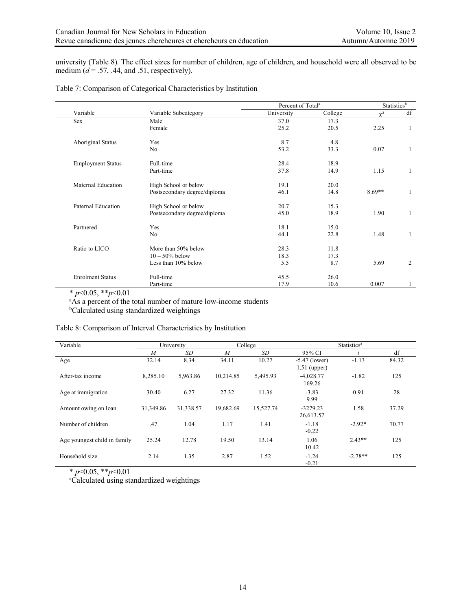university (Table 8). The effect sizes for number of children, age of children, and household were all observed to be medium  $(d = .57, .44,$  and  $.51$ , respectively).

|                          |                              | Percent of Total <sup>a</sup> |         | Statistics <sup>b</sup> |                |
|--------------------------|------------------------------|-------------------------------|---------|-------------------------|----------------|
| Variable                 | Variable Subcategory         | University                    | College | $\gamma^2$              | df             |
| Sex                      | Male                         | 37.0                          | 17.3    |                         |                |
|                          | Female                       | 25.2                          | 20.5    | 2.25                    |                |
| <b>Aboriginal Status</b> | Yes                          | 8.7                           | 4.8     |                         |                |
|                          | No                           | 53.2                          | 33.3    | 0.07                    | 1              |
| <b>Employment Status</b> | Full-time                    | 28.4                          | 18.9    |                         |                |
|                          | Part-time                    | 37.8                          | 14.9    | 1.15                    | 1              |
| Maternal Education       | High School or below         | 19.1                          | 20.0    |                         |                |
|                          | Postsecondary degree/diploma | 46.1                          | 14.8    | $8.69**$                | 1              |
| Paternal Education       | High School or below         | 20.7                          | 15.3    |                         |                |
|                          | Postsecondary degree/diploma | 45.0                          | 18.9    | 1.90                    | 1              |
| Partnered                | Yes                          | 18.1                          | 15.0    |                         |                |
|                          | No                           | 44.1                          | 22.8    | 1.48                    |                |
| Ratio to LICO            | More than 50% below          | 28.3                          | 11.8    |                         |                |
|                          | $10 - 50\%$ below            | 18.3                          | 17.3    |                         |                |
|                          | Less than 10% below          | 5.5                           | 8.7     | 5.69                    | $\overline{2}$ |
| <b>Enrolment Status</b>  | Full-time                    | 45.5                          | 26.0    |                         |                |
|                          | Part-time                    | 17.9                          | 10.6    | 0.007                   |                |

## Table 7: Comparison of Categorical Characteristics by Institution

\* *p*<0.05, \*\**p*<0.01

<sup>a</sup>As a percent of the total number of mature low-income students

b Calculated using standardized weightings

|  |  | Table 8: Comparison of Interval Characteristics by Institution |  |
|--|--|----------------------------------------------------------------|--|
|  |  |                                                                |  |

| Variable                     | University     |           |                | College   | <b>Statistics</b> <sup>a</sup>    |           |       |
|------------------------------|----------------|-----------|----------------|-----------|-----------------------------------|-----------|-------|
|                              | $\overline{M}$ | SD        | $\overline{M}$ | SD        | 95% CI                            |           | df    |
| Age                          | 32.14          | 8.34      | 34.11          | 10.27     | $-5.47$ (lower)<br>$1.51$ (upper) | $-1.13$   | 84.32 |
| After-tax income             | 8,285.10       | 5,963.86  | 10,214.85      | 5,495.93  | $-4.028.77$<br>169.26             | $-1.82$   | 125   |
| Age at immigration           | 30.40          | 6.27      | 27.32          | 11.36     | $-3.83$<br>9.99                   | 0.91      | 28    |
| Amount owing on loan         | 31,349.86      | 31,338.57 | 19,682.69      | 15,527.74 | $-3279.23$<br>26,613.57           | 1.58      | 37.29 |
| Number of children           | .47            | 1.04      | 1.17           | 1.41      | $-1.18$<br>$-0.22$                | $-2.92*$  | 70.77 |
| Age youngest child in family | 25.24          | 12.78     | 19.50          | 13.14     | 1.06<br>10.42                     | $2.43**$  | 125   |
| Household size               | 2.14           | 1.35      | 2.87           | 1.52      | $-1.24$<br>$-0.21$                | $-2.78**$ | 125   |

\* *p*<0.05, \*\**p*<0.01

a Calculated using standardized weightings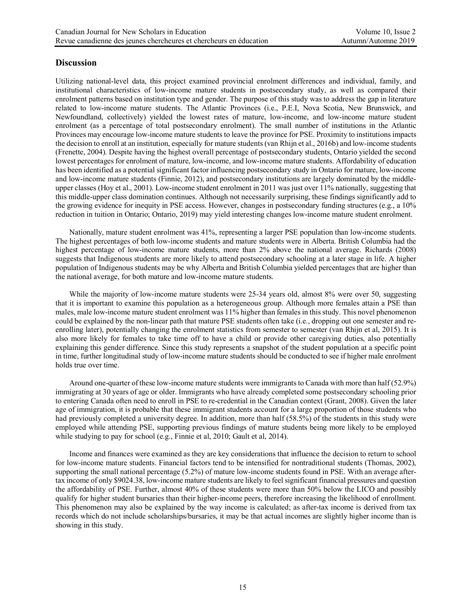# **Discussion**

Utilizing national-level data, this project examined provincial enrolment differences and individual, family, and institutional characteristics of low-income mature students in postsecondary study, as well as compared their enrolment patterns based on institution type and gender. The purpose of this study was to address the gap in literature related to low-income mature students. The Atlantic Provinces (i.e., P.E.I, Nova Scotia, New Brunswick, and Newfoundland, collectively) yielded the lowest rates of mature, low-income, and low-income mature student enrolment (as a percentage of total postsecondary enrolment). The small number of institutions in the Atlantic Provinces may encourage low-income mature students to leave the province for PSE. Proximity to institutions impacts the decision to enroll at an institution, especially for mature students (van Rhijn et al., 2016b) and low-income students (Frenette, 2004). Despite having the highest overall percentage of postsecondary students, Ontario yielded the second lowest percentages for enrolment of mature, low-income, and low-income mature students. Affordability of education has been identified as a potential significant factor influencing postsecondary study in Ontario for mature, low-income and low-income mature students (Finnie, 2012), and postsecondary institutions are largely dominated by the middleupper classes (Hoy et al., 2001). Low-income student enrolment in 2011 was just over 11% nationally, suggesting that this middle-upper class domination continues. Although not necessarily surprising, these findings significantly add to the growing evidence for inequity in PSE access. However, changes in postsecondary funding structures (e.g., a 10% reduction in tuition in Ontario; Ontario, 2019) may yield interesting changes low-income mature student enrolment.

Nationally, mature student enrolment was 41%, representing a larger PSE population than low-income students. The highest percentages of both low-income students and mature students were in Alberta. British Columbia had the highest percentage of low-income mature students, more than 2% above the national average. Richards (2008) suggests that Indigenous students are more likely to attend postsecondary schooling at a later stage in life. A higher population of Indigenous students may be why Alberta and British Columbia yielded percentages that are higher than the national average, for both mature and low-income mature students.

While the majority of low-income mature students were 25-34 years old, almost 8% were over 50, suggesting that it is important to examine this population as a heterogeneous group. Although more females attain a PSE than males, male low-income mature student enrolment was 11% higher than females in this study. This novel phenomenon could be explained by the non-linear path that mature PSE students often take (i.e., dropping out one semester and reenrolling later), potentially changing the enrolment statistics from semester to semester (van Rhijn et al, 2015). It is also more likely for females to take time off to have a child or provide other caregiving duties, also potentially explaining this gender difference. Since this study represents a snapshot of the student population at a specific point in time, further longitudinal study of low-income mature students should be conducted to see if higher male enrolment holds true over time.

Around one-quarter of these low-income mature students were immigrants to Canada with more than half (52.9%) immigrating at 30 years of age or older. Immigrants who have already completed some postsecondary schooling prior to entering Canada often need to enroll in PSE to re-credential in the Canadian context (Grant, 2008). Given the later age of immigration, it is probable that these immigrant students account for a large proportion of those students who had previously completed a university degree. In addition, more than half (58.5%) of the students in this study were employed while attending PSE, supporting previous findings of mature students being more likely to be employed while studying to pay for school (e.g., Finnie et al, 2010; Gault et al, 2014).

Income and finances were examined as they are key considerations that influence the decision to return to school for low-income mature students. Financial factors tend to be intensified for nontraditional students (Thomas, 2002), supporting the small national percentage (5.2%) of mature low-income students found in PSE. With an average aftertax income of only \$9024.38, low-income mature students are likely to feel significant financial pressures and question the affordability of PSE. Further, almost 40% of these students were more than 50% below the LICO and possibly qualify for higher student bursaries than their higher-income peers, therefore increasing the likelihood of enrollment. This phenomenon may also be explained by the way income is calculated; as after-tax income is derived from tax records which do not include scholarships/bursaries, it may be that actual incomes are slightly higher income than is showing in this study.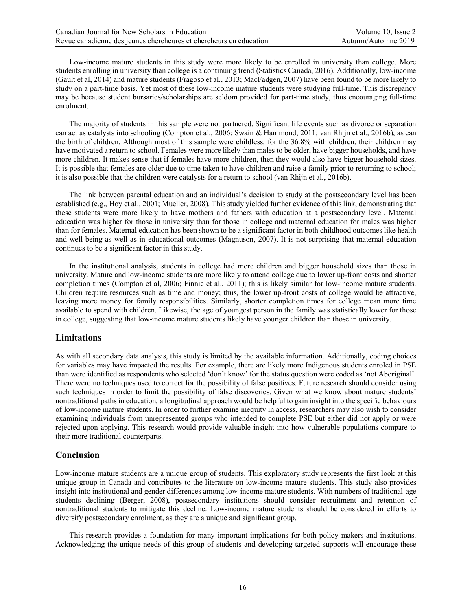Low-income mature students in this study were more likely to be enrolled in university than college. More students enrolling in university than college is a continuing trend (Statistics Canada, 2016). Additionally, low-income (Gault et al, 2014) and mature students (Fragoso et al., 2013; MacFadgen, 2007) have been found to be more likely to study on a part-time basis. Yet most of these low-income mature students were studying full-time. This discrepancy may be because student bursaries/scholarships are seldom provided for part-time study, thus encouraging full-time enrolment.

The majority of students in this sample were not partnered. Significant life events such as divorce or separation can act as catalysts into schooling (Compton et al., 2006; Swain & Hammond, 2011; van Rhijn et al., 2016b), as can the birth of children. Although most of this sample were childless, for the 36.8% with children, their children may have motivated a return to school. Females were more likely than males to be older, have bigger households, and have more children. It makes sense that if females have more children, then they would also have bigger household sizes. It is possible that females are older due to time taken to have children and raise a family prior to returning to school; it is also possible that the children were catalysts for a return to school (van Rhijn et al., 2016b).

The link between parental education and an individual's decision to study at the postsecondary level has been established (e.g., Hoy et al., 2001; Mueller, 2008). This study yielded further evidence of this link, demonstrating that these students were more likely to have mothers and fathers with education at a postsecondary level. Maternal education was higher for those in university than for those in college and maternal education for males was higher than for females. Maternal education has been shown to be a significant factor in both childhood outcomes like health and well-being as well as in educational outcomes (Magnuson, 2007). It is not surprising that maternal education continues to be a significant factor in this study.

In the institutional analysis, students in college had more children and bigger household sizes than those in university. Mature and low-income students are more likely to attend college due to lower up-front costs and shorter completion times (Compton et al, 2006; Finnie et al., 2011); this is likely similar for low-income mature students. Children require resources such as time and money; thus, the lower up-front costs of college would be attractive, leaving more money for family responsibilities. Similarly, shorter completion times for college mean more time available to spend with children. Likewise, the age of youngest person in the family was statistically lower for those in college, suggesting that low-income mature students likely have younger children than those in university.

## **Limitations**

As with all secondary data analysis, this study is limited by the available information. Additionally, coding choices for variables may have impacted the results. For example, there are likely more Indigenous students enroled in PSE than were identified as respondents who selected 'don't know' for the status question were coded as 'not Aboriginal'. There were no techniques used to correct for the possibility of false positives. Future research should consider using such techniques in order to limit the possibility of false discoveries. Given what we know about mature students' nontraditional paths in education, a longitudinal approach would be helpful to gain insight into the specific behaviours of low-income mature students. In order to further examine inequity in access, researchers may also wish to consider examining individuals from unrepresented groups who intended to complete PSE but either did not apply or were rejected upon applying. This research would provide valuable insight into how vulnerable populations compare to their more traditional counterparts.

## **Conclusion**

Low-income mature students are a unique group of students. This exploratory study represents the first look at this unique group in Canada and contributes to the literature on low-income mature students. This study also provides insight into institutional and gender differences among low-income mature students. With numbers of traditional-age students declining (Berger, 2008), postsecondary institutions should consider recruitment and retention of nontraditional students to mitigate this decline. Low-income mature students should be considered in efforts to diversify postsecondary enrolment, as they are a unique and significant group.

This research provides a foundation for many important implications for both policy makers and institutions. Acknowledging the unique needs of this group of students and developing targeted supports will encourage these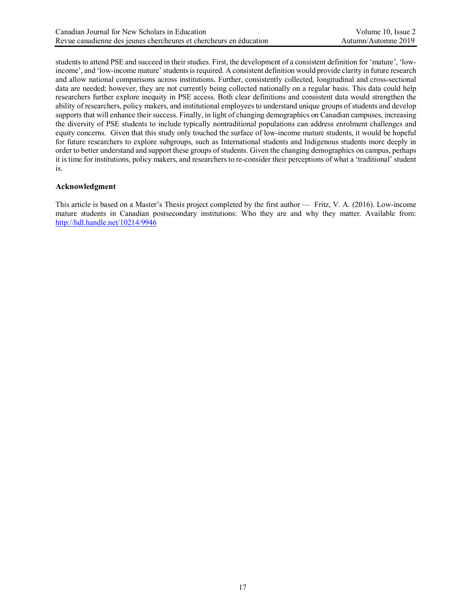students to attend PSE and succeed in their studies. First, the development of a consistent definition for 'mature', 'lowincome', and 'low-income mature' students is required. A consistent definition would provide clarity in future research and allow national comparisons across institutions. Further, consistently collected, longitudinal and cross-sectional data are needed; however, they are not currently being collected nationally on a regular basis. This data could help researchers further explore inequity in PSE access. Both clear definitions and consistent data would strengthen the ability of researchers, policy makers, and institutional employees to understand unique groups of students and develop supports that will enhance their success. Finally, in light of changing demographics on Canadian campuses, increasing the diversity of PSE students to include typically nontraditional populations can address enrolment challenges and equity concerns. Given that this study only touched the surface of low-income mature students, it would be hopeful for future researchers to explore subgroups, such as International students and Indigenous students more deeply in order to better understand and support these groups of students. Given the changing demographics on campus, perhaps it is time for institutions, policy makers, and researchers to re-consider their perceptions of what a 'traditional' student is.

## **Acknowledgment**

This article is based on a Master's Thesis project completed by the first author — Fritz, V. A. (2016). Low-income mature students in Canadian postsecondary institutions: Who they are and why they matter. Available from: http://hdl.handle.net/10214/9946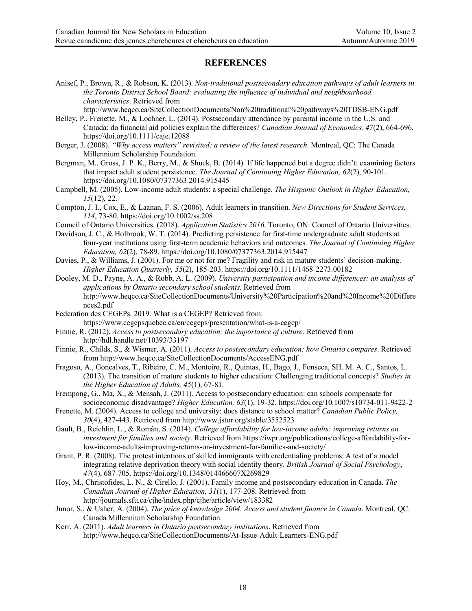## **REFERENCES**

Anisef, P., Brown, R., & Robson, K. (2013). *Non-traditional postsecondary education pathways of adult learners in the Toronto District School Board: evaluating the influence of individual and neighbourhood characteristics*. Retrieved from

http://www.heqco.ca/SiteCollectionDocuments/Non%20traditional%20pathways%20TDSB-ENG.pdf

- Belley, P., Frenette, M., & Lochner, L. (2014). Postsecondary attendance by parental income in the U.S. and Canada: do financial aid policies explain the differences? *Canadian Journal of Economics, 47*(2), 664-696. https://doi.org/10.1111/caje.12088
- Berger, J. (2008). *"Why access matters" revisited: a review of the latest research*. Montreal, QC: The Canada Millennium Scholarship Foundation.
- Bergman, M., Gross, J. P. K., Berry, M., & Shuck, B. (2014). If life happened but a degree didn't: examining factors that impact adult student persistence. *The Journal of Continuing Higher Education, 62*(2), 90-101. https://doi.org/10.1080/07377363.2014.915445
- Campbell, M. (2005). Low-income adult students: a special challenge. *The Hispanic Outlook in Higher Education, 15*(12), 22.
- Compton, J. I., Cox, E., & Laanan, F. S. (2006). Adult learners in transition. *New Directions for Student Services, 114*, 73-80. https://doi.org/10.1002/ss.208
- Council of Ontario Universities. (2018). *Application Statistics 2016.* Toronto, ON: Council of Ontario Universities.
- Davidson, J. C., & Holbrook, W. T. (2014). Predicting persistence for first-time undergraduate adult students at four-year institutions using first-term academic behaviors and outcomes. *The Journal of Continuing Higher Education, 62*(2), 78-89. https://doi.org/10.1080/07377363.2014.915447
- Davies, P., & Williams, J. (2001). For me or not for me? Fragility and risk in mature students' decision-making. *Higher Education Quarterly, 55*(2), 185-203. https://doi.org/10.1111/1468-2273.00182
- Dooley, M. D., Payne, A. A., & Robb, A. L. (2009). *University participation and income differences: an analysis of applications by Ontario secondary school students*. Retrieved from http://www.heqco.ca/SiteCollectionDocuments/University%20Participation%20and%20Income%20Differe nces2.pdf
- Federation des CEGEPs. 2019. What is a CEGEP? Retrieved from: https://www.cegepsquebec.ca/en/cegeps/presentation/what-is-a-cegep/
- Finnie, R. (2012). *Access to postsecondary education: the importance of culture*. Retrieved from http://hdl.handle.net/10393/33197
- Finnie, R., Childs, S., & Wismer, A. (2011). *Access to postsecondary education: how Ontario compares*. Retrieved from http://www.heqco.ca/SiteCollectionDocuments/AccessENG.pdf
- Fragoso, A., Goncalves, T., Ribeiro, C. M., Monteiro, R., Quintas, H., Bago, J., Fonseca, SH. M. A. C., Santos, L. (2013). The transition of mature students to higher education: Challenging traditional concepts? *Studies in the Higher Education of Adults, 45*(1), 67-81.
- Frempong, G., Ma, X., & Mensah, J. (2011). Access to postsecondary education: can schools compensate for socioeconomic disadvantage? *Higher Education, 63*(1), 19-32. https://doi.org/10.1007/s10734-011-9422-2
- Frenette, M. (2004). Access to college and university: does distance to school matter? *Canadian Public Policy, 30*(4), 427-443. Retrieved from http://www.jstor.org/stable/3552523
- Gault, B., Reichlin, L., & Román, S. (2014). *College affordability for low-income adults: improving returns on investment for families and society*. Retrieved from https://iwpr.org/publications/college-affordability-forlow-income-adults-improving-returns-on-investment-for-families-and-society/
- Grant, P. R. (2008). The protest intentions of skilled immigrants with credentialing problems: A test of a model integrating relative deprivation theory with social identity theory. *British Journal of Social Psychology*, *47*(4), 687-705. https://doi.org/10.1348/014466607X269829
- Hoy, M., Christofides, L. N., & Cirello, J. (2001). Family income and postsecondary education in Canada. *The Canadian Journal of Higher Education, 31*(1), 177-208. Retrieved from http://journals.sfu.ca/cjhe/index.php/cjhe/article/view/183382
- Junor, S., & Usher, A. (2004). *The price of knowledge 2004. Access and student finance in Canada*. Montreal, QC: Canada Millennium Scholarship Foundation.
- Kerr, A. (2011). *Adult learners in Ontario postsecondary institutions*. Retrieved from http://www.heqco.ca/SiteCollectionDocuments/At-Issue-Adult-Learners-ENG.pdf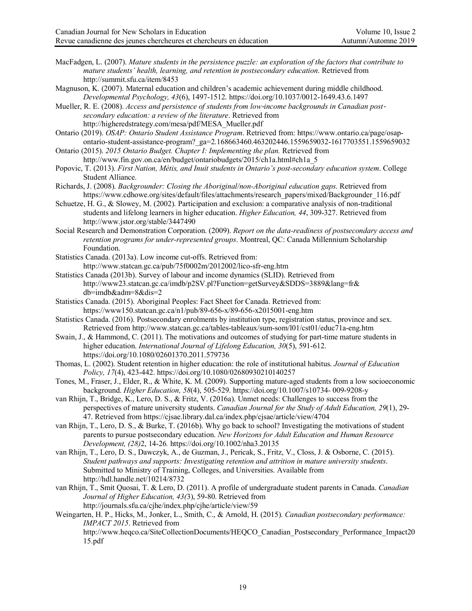- MacFadgen, L. (2007). *Mature students in the persistence puzzle: an exploration of the factors that contribute to mature students' health, learning, and retention in postsecondary education*. Retrieved from http://summit.sfu.ca/item/8453
- Magnuson, K. (2007). Maternal education and children's academic achievement during middle childhood. *Developmental Psychology, 43*(6), 1497-1512. https://doi.org/10.1037/0012-1649.43.6.1497
- Mueller, R. E. (2008). *Access and persistence of students from low*-*income backgrounds in Canadian postsecondary education: a review of the literature*. Retrieved from http://higheredstrategy.com/mesa/pdf/MESA\_Mueller.pdf
- Ontario (2019). *OSAP: Ontario Student Assistance Program*. Retrieved from: https://www.ontario.ca/page/osapontario-student-assistance-program?\_ga=2.168663460.463202446.1559659032-1617703551.1559659032
- Ontario (2015). *2015 Ontario Budget. Chapter I: Implementing the plan.* Retrieved from http://www.fin.gov.on.ca/en/budget/ontariobudgets/2015/ch1a.html#ch1a\_5
- Popovic, T. (2013). *First Nation, Métis, and Inuit students in Ontario's post-secondary education system*. College Student Alliance.
- Richards, J. (2008). *Backgrounder: Closing the Aboriginal/non-Aboriginal education gaps*. Retrieved from https://www.cdhowe.org/sites/default/files/attachments/research\_papers/mixed/Backgrounder\_116.pdf
- Schuetze, H. G., & Slowey, M. (2002). Participation and exclusion: a comparative analysis of non-traditional students and lifelong learners in higher education. *Higher Education, 44*, 309-327. Retrieved from http://www.jstor.org/stable/3447490
- Social Research and Demonstration Corporation. (2009). *Report on the data-readiness of postsecondary access and retention programs for under-represented groups*. Montreal, QC: Canada Millennium Scholarship Foundation.
- Statistics Canada. (2013a). Low income cut-offs. Retrieved from: http://www.statcan.gc.ca/pub/75f0002m/2012002/lico-sfr-eng.htm
- Statistics Canada (2013b). Survey of labour and income dynamics (SLID). Retrieved from http://www23.statcan.gc.ca/imdb/p2SV.pl?Function=getSurvey&SDDS=3889&lang=fr& db=imdb&adm=8&dis=2
- Statistics Canada. (2015). Aboriginal Peoples: Fact Sheet for Canada. Retrieved from: https://www150.statcan.gc.ca/n1/pub/89-656-x/89-656-x2015001-eng.htm
- Statistics Canada. (2016). Postsecondary enrolments by institution type, registration status, province and sex. Retrieved from http://www.statcan.gc.ca/tables-tableaux/sum-som/l01/cst01/educ71a-eng.htm
- Swain, J., & Hammond, C. (2011). The motivations and outcomes of studying for part-time mature students in higher education. *International Journal of Lifelong Education, 30*(5), 591-612. https://doi.org/10.1080/02601370.2011.579736
- Thomas, L. (2002). Student retention in higher education: the role of institutional habitus. *Journal of Education Policy, 17*(4), 423-442. https://doi.org/10.1080/02680930210140257
- Tones, M., Fraser, J., Elder, R., & White, K. M. (2009). Supporting mature-aged students from a low socioeconomic background. *Higher Education, 58*(4), 505-529. https://doi.org/10.1007/s10734- 009-9208-y
- van Rhijn, T., Bridge, K., Lero, D. S., & Fritz, V. (2016a). Unmet needs: Challenges to success from the perspectives of mature university students. *Canadian Journal for the Study of Adult Education, 29*(1), 29- 47. Retrieved from https://cjsae.library.dal.ca/index.php/cjsae/article/view/4704
- van Rhijn, T., Lero, D. S., & Burke, T. (2016b). Why go back to school? Investigating the motivations of student parents to pursue postsecondary education. *New Horizons for Adult Education and Human Resource Development, (28)*2, 14-26*.* https://doi.org/10.1002/nha3.20135
- van Rhijn, T., Lero, D. S., Dawczyk, A., de Guzman, J., Pericak, S., Fritz, V., Closs, J. & Osborne, C. (2015). *Student pathways and supports: Investigating retention and attrition in mature university students*. Submitted to Ministry of Training, Colleges, and Universities. Available from http://hdl.handle.net/10214/8732
- van Rhijn, T., Smit Quosai, T. & Lero, D. (2011). A profile of undergraduate student parents in Canada. *Canadian Journal of Higher Education, 43(*3), 59-80. Retrieved from http://journals.sfu.ca/cjhe/index.php/cjhe/article/view/59
- Weingarten, H. P., Hicks, M., Jonker, L., Smith, C., & Arnold, H. (2015). *Canadian postsecondary performance: IMPACT 2015*. Retrieved from http://www.heqco.ca/SiteCollectionDocuments/HEQCO\_Canadian\_Postsecondary\_Performance\_Impact20 15.pdf